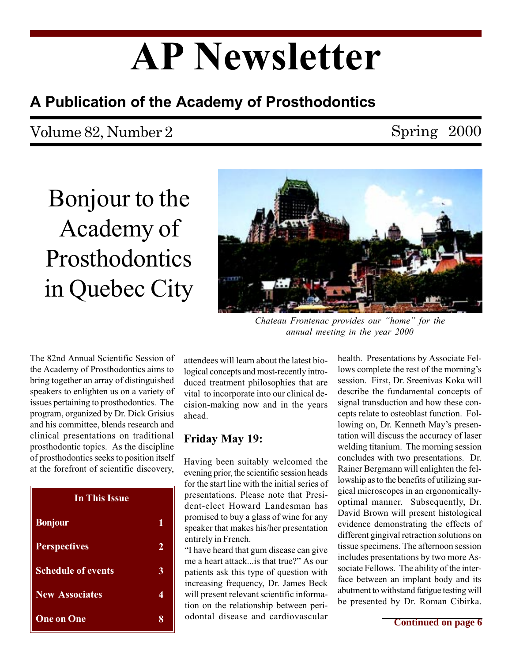# AP Newsletter

### A Publication of the Academy of Prosthodontics

### Volume 82, Number 2 Spring 2000

Bonjour to the Academy of Prosthodontics in Quebec City



Chateau Frontenac provides our "home" for the annual meeting in the year 2000

The 82nd Annual Scientific Session of the Academy of Prosthodontics aims to bring together an array of distinguished speakers to enlighten us on a variety of issues pertaining to prosthodontics. The program, organized by Dr. Dick Grisius and his committee, blends research and clinical presentations on traditional prosthodontic topics. As the discipline of prosthodontics seeks to position itself at the forefront of scientific discovery,

| <b>In This Issue</b>      |   |  |  |  |
|---------------------------|---|--|--|--|
| <b>Bonjour</b>            |   |  |  |  |
| <b>Perspectives</b>       | 2 |  |  |  |
| <b>Schedule of events</b> | 3 |  |  |  |
| <b>New Associates</b>     |   |  |  |  |
| One on One                |   |  |  |  |

attendees will learn about the latest biological concepts and most-recently introduced treatment philosophies that are vital to incorporate into our clinical decision-making now and in the years ahead.

#### Friday May 19:

Having been suitably welcomed the evening prior, the scientific session heads for the start line with the initial series of presentations. Please note that President-elect Howard Landesman has promised to buy a glass of wine for any speaker that makes his/her presentation entirely in French.

"I have heard that gum disease can give me a heart attack... is that true?" As our patients ask this type of question with increasing frequency, Dr. James Beck will present relevant scientific information on the relationship between periodontal disease and cardiovascular health. Presentations by Associate Fellows complete the rest of the morning's session. First, Dr. Sreenivas Koka will describe the fundamental concepts of signal transduction and how these concepts relate to osteoblast function. Following on, Dr. Kenneth May's presentation will discuss the accuracy of laser welding titanium. The morning session concludes with two presentations. Dr. Rainer Bergmann will enlighten the fellowship as to the benefits of utilizing surgical microscopes in an ergonomicallyoptimal manner. Subsequently, Dr. David Brown will present histological evidence demonstrating the effects of different gingival retraction solutions on tissue specimens. The afternoon session includes presentations by two more Associate Fellows. The ability of the interface between an implant body and its abutment to withstand fatigue testing will be presented by Dr. Roman Cibirka.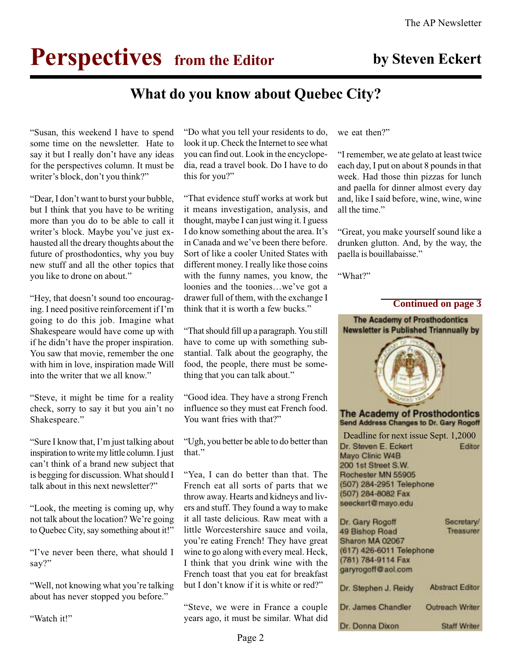### **Perspectives** from the Editor by Steven Eckert

### What do you know about Quebec City?

Susan, this weekend I have to spend some time on the newsletter. Hate to say it but I really don't have any ideas for the perspectives column. It must be writer's block, don't you think?"

"Dear, I don't want to burst your bubble, but I think that you have to be writing more than you do to be able to call it writer's block. Maybe you've just exhausted all the dreary thoughts about the future of prosthodontics, why you buy new stuff and all the other topics that you like to drone on about.

"Hey, that doesn't sound too encouraging. I need positive reinforcement if I'm going to do this job. Imagine what Shakespeare would have come up with if he didn't have the proper inspiration. You saw that movie, remember the one with him in love, inspiration made Will into the writer that we all know.

Steve, it might be time for a reality check, sorry to say it but you ain't no Shakespeare.

"Sure I know that, I'm just talking about inspiration to write my little column. I just can't think of a brand new subject that is begging for discussion. What should I talk about in this next newsletter?

Look, the meeting is coming up, why not talk about the location? We're going to Quebec City, say something about it!

"I've never been there, what should I say?"

"Well, not knowing what you're talking" about has never stopped you before.

"Watch it!"

Do what you tell your residents to do, look it up. Check the Internet to see what you can find out. Look in the encyclopedia, read a travel book. Do I have to do this for you?"

That evidence stuff works at work but it means investigation, analysis, and thought, maybe I can just wing it. I guess I do know something about the area. It's in Canada and we've been there before. Sort of like a cooler United States with different money. I really like those coins with the funny names, you know, the loonies and the toonies...we've got a drawer full of them, with the exchange I think that it is worth a few bucks.

That should fill up a paragraph. You still have to come up with something substantial. Talk about the geography, the food, the people, there must be something that you can talk about.

Good idea. They have a strong French influence so they must eat French food. You want fries with that?"

Ugh, you better be able to do better than that.

Yea, I can do better than that. The French eat all sorts of parts that we throw away. Hearts and kidneys and livers and stuff. They found a way to make it all taste delicious. Raw meat with a little Worcestershire sauce and voila, you're eating French! They have great wine to go along with every meal. Heck, I think that you drink wine with the French toast that you eat for breakfast but I don't know if it is white or red?"

Steve, we were in France a couple years ago, it must be similar. What did we eat then?

I remember, we ate gelato at least twice each day, I put on about 8 pounds in that week. Had those thin pizzas for lunch and paella for dinner almost every day and, like I said before, wine, wine, wine all the time.

Great, you make yourself sound like a drunken glutton. And, by the way, the paella is bouillabaisse.

"What?"

#### **Continued on page 3**

**The Academy of Prosthodontics Newsletter is Published Triannually by** 

**The Academy of Prosthodontics** Send Address Changes to Dr. Gary Rogoff

Deadline for next issue Sept. 1,2000 Dr. Steven E. Eckert Editor Mayo Clinic W4B 200 1st Street S.W. Rochester MN 55905 (507) 284-2951 Telephone (507) 284-8082 Fax seeckert@mayo.edu

| Dr. Gary Rogoff                   | Secretary/             |
|-----------------------------------|------------------------|
| 49 Bishop Road<br>Sharon MA 02067 | Treasurer              |
| (617) 426-6011 Telephone          |                        |
| (781) 784-9114 Fax                |                        |
| garyrogoff@aol.com                |                        |
| Dr. Stephen J. Reidy              | <b>Abstract Editor</b> |
| Dr. James Chandler                | <b>Outreach Writer</b> |
| Dr. Donna Dixon                   | Staff Writer           |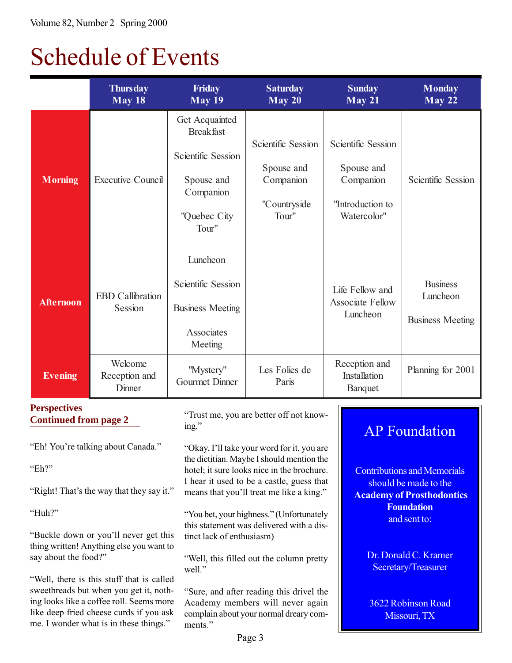## Schedule of Events

|                  | <b>Thursday</b><br>May 18          | Friday<br><b>May 19</b>                                                                                             | <b>Saturday</b><br>May 20                                                     | <b>Sunday</b><br>May 21                                                                 | <b>Monday</b><br>May 22                                |
|------------------|------------------------------------|---------------------------------------------------------------------------------------------------------------------|-------------------------------------------------------------------------------|-----------------------------------------------------------------------------------------|--------------------------------------------------------|
| <b>Morning</b>   | <b>Executive Council</b>           | Get Acquainted<br><b>Breakfast</b><br><b>Scientific Session</b><br>Spouse and<br>Companion<br>"Quebec City<br>Tour" | <b>Scientific Session</b><br>Spouse and<br>Companion<br>"Countryside<br>Tour" | <b>Scientific Session</b><br>Spouse and<br>Companion<br>"Introduction to<br>Watercolor" | <b>Scientific Session</b>                              |
| <b>Afternoon</b> | <b>EBD</b> Callibration<br>Session | Luncheon<br><b>Scientific Session</b><br><b>Business Meeting</b><br>Associates<br>Meeting                           |                                                                               | Life Fellow and<br><b>Associate Fellow</b><br>Luncheon                                  | <b>Business</b><br>Luncheon<br><b>Business Meeting</b> |
| <b>Evening</b>   | Welcome<br>Reception and<br>Dinner | "Mystery"<br>Gourmet Dinner                                                                                         | Les Folies de<br>Paris                                                        | Reception and<br>Installation<br>Banquet                                                | Planning for 2001                                      |

#### **Perspectives Continued from page 2**

"Eh! You're talking about Canada."

Eh?

"Right! That's the way that they say it."

"Huh?"

"Buckle down or you'll never get this thing written! Anything else you want to say about the food?"

Well, there is this stuff that is called sweetbreads but when you get it, nothing looks like a coffee roll. Seems more like deep fried cheese curds if you ask me. I wonder what is in these things.

Trust me, you are better off not knowing.

"Okay, I'll take your word for it, you are the dietitian. Maybe I should mention the hotel; it sure looks nice in the brochure. I hear it used to be a castle, guess that means that you'll treat me like a king."

"You bet, your highness." (Unfortunately this statement was delivered with a distinct lack of enthusiasm)

Well, this filled out the column pretty well."

Sure, and after reading this drivel the Academy members will never again complain about your normal dreary comments."

### AP Foundation

Contributions and Memorials should be made to the Academy of Prosthodontics **Foundation** and sent to:

> Dr. Donald C. Kramer Secretary/Treasurer

3622 Robinson Road Missouri, TX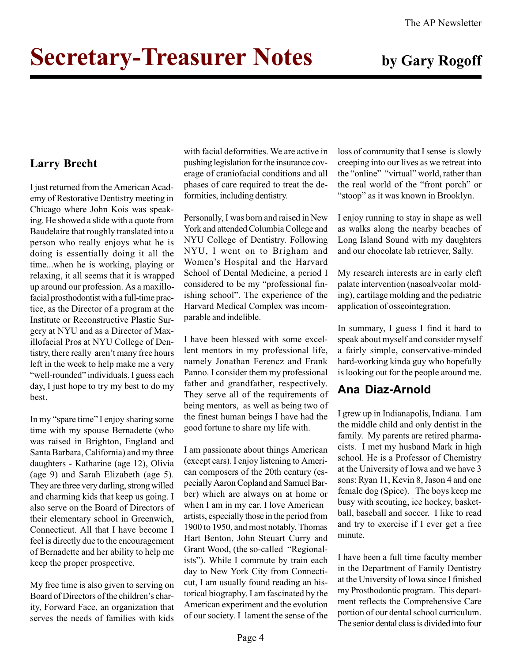## Secretary-Treasurer Notes by Gary Rogoff

#### Larry Brecht

I just returned from the American Academy of Restorative Dentistry meeting in Chicago where John Kois was speaking. He showed a slide with a quote from Baudelaire that roughly translated into a person who really enjoys what he is doing is essentially doing it all the time...when he is working, playing or relaxing, it all seems that it is wrapped up around our profession. As a maxillofacial prosthodontist with a full-time practice, as the Director of a program at the Institute or Reconstructive Plastic Surgery at NYU and as a Director of Maxillofacial Pros at NYU College of Dentistry, there really aren't many free hours left in the week to help make me a very "well-rounded" individuals. I guess each day, I just hope to try my best to do my best.

In my "spare time" I enjoy sharing some time with my spouse Bernadette (who was raised in Brighton, England and Santa Barbara, California) and my three daughters - Katharine (age 12), Olivia (age 9) and Sarah Elizabeth (age 5). They are three very darling, strong willed and charming kids that keep us going. I also serve on the Board of Directors of their elementary school in Greenwich, Connecticut. All that I have become I feel is directly due to the encouragement of Bernadette and her ability to help me keep the proper prospective.

My free time is also given to serving on Board of Directors of the children's charity, Forward Face, an organization that serves the needs of families with kids

with facial deformities. We are active in pushing legislation for the insurance coverage of craniofacial conditions and all phases of care required to treat the deformities, including dentistry.

Personally, I was born and raised in New York and attended Columbia College and NYU College of Dentistry. Following NYU, I went on to Brigham and Women's Hospital and the Harvard School of Dental Medicine, a period I considered to be my "professional finishing school". The experience of the Harvard Medical Complex was incomparable and indelible.

I have been blessed with some excellent mentors in my professional life, namely Jonathan Ferencz and Frank Panno. I consider them my professional father and grandfather, respectively. They serve all of the requirements of being mentors, as well as being two of the finest human beings I have had the good fortune to share my life with.

I am passionate about things American (except cars). I enjoy listening to American composers of the 20th century (especially Aaron Copland and Samuel Barber) which are always on at home or when I am in my car. I love American artists, especially those in the period from 1900 to 1950, and most notably, Thomas Hart Benton, John Steuart Curry and Grant Wood, (the so-called "Regionalists"). While I commute by train each day to New York City from Connecticut, I am usually found reading an historical biography. I am fascinated by the American experiment and the evolution of our society. I lament the sense of the loss of community that I sense is slowly creeping into our lives as we retreat into the "online" "virtual" world, rather than the real world of the "front porch" or "stoop" as it was known in Brooklyn.

I enjoy running to stay in shape as well as walks along the nearby beaches of Long Island Sound with my daughters and our chocolate lab retriever, Sally.

My research interests are in early cleft palate intervention (nasoalveolar molding), cartilage molding and the pediatric application of osseointegration.

In summary, I guess I find it hard to speak about myself and consider myself a fairly simple, conservative-minded hard-working kinda guy who hopefully is looking out for the people around me.

#### Ana Diaz-Arnold

I grew up in Indianapolis, Indiana. I am the middle child and only dentist in the family. My parents are retired pharmacists. I met my husband Mark in high school. He is a Professor of Chemistry at the University of Iowa and we have 3 sons: Ryan 11, Kevin 8, Jason 4 and one female dog (Spice). The boys keep me busy with scouting, ice hockey, basketball, baseball and soccer. I like to read and try to exercise if I ever get a free minute.

I have been a full time faculty member in the Department of Family Dentistry at the University of Iowa since I finished my Prosthodontic program. This department reflects the Comprehensive Care portion of our dental school curriculum. The senior dental class is divided into four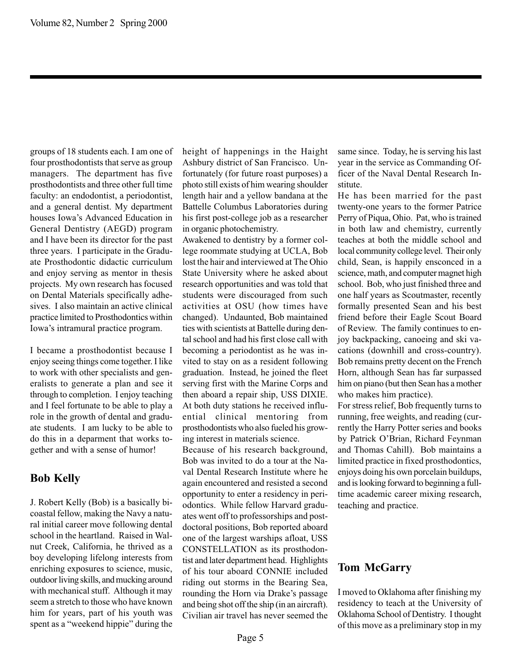groups of 18 students each. I am one of four prosthodontists that serve as group managers. The department has five prosthodontists and three other full time faculty: an endodontist, a periodontist, and a general dentist. My department houses Iowa's Advanced Education in General Dentistry (AEGD) program and I have been its director for the past three years. I participate in the Graduate Prosthodontic didactic curriculum and enjoy serving as mentor in thesis projects. My own research has focused on Dental Materials specifically adhesives. I also maintain an active clinical practice limited to Prosthodontics within Iowa's intramural practice program.

I became a prosthodontist because I enjoy seeing things come together. I like to work with other specialists and generalists to generate a plan and see it through to completion. I enjoy teaching and I feel fortunate to be able to play a role in the growth of dental and graduate students. I am lucky to be able to do this in a deparment that works together and with a sense of humor!

#### Bob Kelly

J. Robert Kelly (Bob) is a basically bicoastal fellow, making the Navy a natural initial career move following dental school in the heartland. Raised in Walnut Creek, California, he thrived as a boy developing lifelong interests from enriching exposures to science, music, outdoor living skills, and mucking around with mechanical stuff. Although it may seem a stretch to those who have known him for years, part of his youth was spent as a "weekend hippie" during the

height of happenings in the Haight Ashbury district of San Francisco. Unfortunately (for future roast purposes) a photo still exists of him wearing shoulder length hair and a yellow bandana at the Battelle Columbus Laboratories during his first post-college job as a researcher in organic photochemistry.

Awakened to dentistry by a former college roommate studying at UCLA, Bob lost the hair and interviewed at The Ohio State University where he asked about research opportunities and was told that students were discouraged from such activities at OSU (how times have changed). Undaunted, Bob maintained ties with scientists at Battelle during dental school and had his first close call with becoming a periodontist as he was invited to stay on as a resident following graduation. Instead, he joined the fleet serving first with the Marine Corps and then aboard a repair ship, USS DIXIE. At both duty stations he received influential clinical mentoring from prosthodontists who also fueled his growing interest in materials science.

Because of his research background, Bob was invited to do a tour at the Naval Dental Research Institute where he again encountered and resisted a second opportunity to enter a residency in periodontics. While fellow Harvard graduates went off to professorships and postdoctoral positions, Bob reported aboard one of the largest warships afloat, USS CONSTELLATION as its prosthodontist and later department head. Highlights of his tour aboard CONNIE included riding out storms in the Bearing Sea, rounding the Horn via Drake's passage and being shot off the ship (in an aircraft). Civilian air travel has never seemed the same since. Today, he is serving his last year in the service as Commanding Officer of the Naval Dental Research Institute.

He has been married for the past twenty-one years to the former Patrice Perry of Piqua, Ohio. Pat, who is trained in both law and chemistry, currently teaches at both the middle school and local community college level. Their only child, Sean, is happily ensconced in a science, math, and computer magnet high school. Bob, who just finished three and one half years as Scoutmaster, recently formally presented Sean and his best friend before their Eagle Scout Board of Review. The family continues to enjoy backpacking, canoeing and ski vacations (downhill and cross-country). Bob remains pretty decent on the French Horn, although Sean has far surpassed him on piano (but then Sean has a mother who makes him practice).

For stress relief, Bob frequently turns to running, free weights, and reading (currently the Harry Potter series and books by Patrick O'Brian, Richard Feynman and Thomas Cahill). Bob maintains a limited practice in fixed prosthodontics, enjoys doing his own porcelain buildups, and is looking forward to beginning a fulltime academic career mixing research, teaching and practice.

#### Tom McGarry

I moved to Oklahoma after finishing my residency to teach at the University of Oklahoma School of Dentistry. I thought of this move as a preliminary stop in my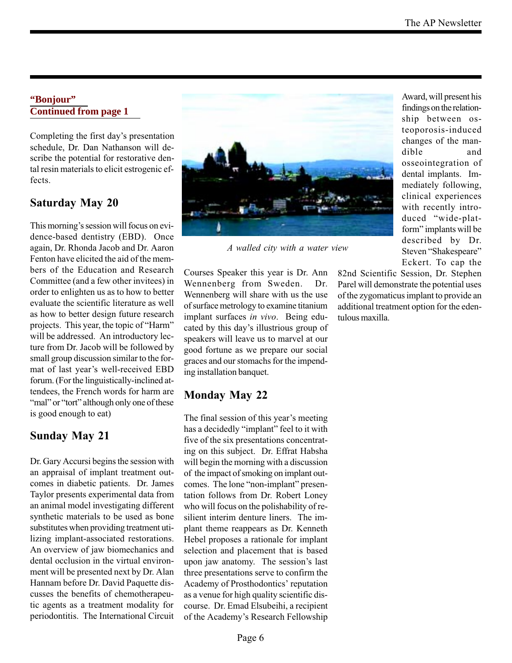#### **"Bonjour" Continued from page 1**

Completing the first day's presentation schedule, Dr. Dan Nathanson will describe the potential for restorative dental resin materials to elicit estrogenic effects.

#### Saturday May 20

This morning's session will focus on evidence-based dentistry (EBD). Once again, Dr. Rhonda Jacob and Dr. Aaron Fenton have elicited the aid of the members of the Education and Research Committee (and a few other invitees) in order to enlighten us as to how to better evaluate the scientific literature as well as how to better design future research projects. This year, the topic of "Harm" will be addressed. An introductory lecture from Dr. Jacob will be followed by small group discussion similar to the format of last year's well-received EBD forum. (For the linguistically-inclined attendees, the French words for harm are "mal" or "tort" although only one of these is good enough to eat)

#### Sunday May 21

Dr. Gary Accursi begins the session with an appraisal of implant treatment outcomes in diabetic patients. Dr. James Taylor presents experimental data from an animal model investigating different synthetic materials to be used as bone substitutes when providing treatment utilizing implant-associated restorations. An overview of jaw biomechanics and dental occlusion in the virtual environment will be presented next by Dr. Alan Hannam before Dr. David Paquette discusses the benefits of chemotherapeutic agents as a treatment modality for periodontitis. The International Circuit



A walled city with a water view

Courses Speaker this year is Dr. Ann Wennenberg from Sweden. Dr. Wennenberg will share with us the use of surface metrology to examine titanium implant surfaces in vivo. Being educated by this day's illustrious group of speakers will leave us to marvel at our good fortune as we prepare our social graces and our stomachs for the impending installation banquet.

#### Monday May 22

The final session of this year's meeting has a decidedly "implant" feel to it with five of the six presentations concentrating on this subject. Dr. Effrat Habsha will begin the morning with a discussion of the impact of smoking on implant outcomes. The lone "non-implant" presentation follows from Dr. Robert Loney who will focus on the polishability of resilient interim denture liners. The implant theme reappears as Dr. Kenneth Hebel proposes a rationale for implant selection and placement that is based upon jaw anatomy. The session's last three presentations serve to confirm the Academy of Prosthodontics' reputation as a venue for high quality scientific discourse. Dr. Emad Elsubeihi, a recipient of the Academy's Research Fellowship

Award, will present his findings on the relationship between osteoporosis-induced changes of the mandible and osseointegration of dental implants. Immediately following, clinical experiences with recently introduced "wide-platform" implants will be described by Dr. Steven "Shakespeare" Eckert. To cap the

82nd Scientific Session, Dr. Stephen Parel will demonstrate the potential uses of the zygomaticus implant to provide an additional treatment option for the edentulous maxilla.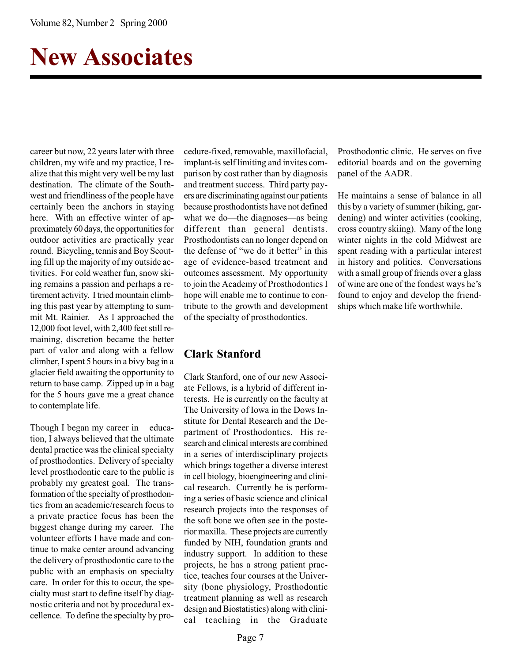## New Associates

career but now, 22 years later with three children, my wife and my practice, I realize that this might very well be my last destination. The climate of the Southwest and friendliness of the people have certainly been the anchors in staying here. With an effective winter of approximately 60 days, the opportunities for outdoor activities are practically year round. Bicycling, tennis and Boy Scouting fill up the majority of my outside activities. For cold weather fun, snow skiing remains a passion and perhaps a retirement activity. I tried mountain climbing this past year by attempting to summit Mt. Rainier. As I approached the 12,000 foot level, with 2,400 feet still remaining, discretion became the better part of valor and along with a fellow climber, I spent 5 hours in a bivy bag in a glacier field awaiting the opportunity to return to base camp. Zipped up in a bag for the 5 hours gave me a great chance to contemplate life.

Though I began my career in education, I always believed that the ultimate dental practice was the clinical specialty of prosthodontics. Delivery of specialty level prosthodontic care to the public is probably my greatest goal. The transformation of the specialty of prosthodontics from an academic/research focus to a private practice focus has been the biggest change during my career. The volunteer efforts I have made and continue to make center around advancing the delivery of prosthodontic care to the public with an emphasis on specialty care. In order for this to occur, the specialty must start to define itself by diagnostic criteria and not by procedural excellence. To define the specialty by procedure-fixed, removable, maxillofacial, implant-is self limiting and invites comparison by cost rather than by diagnosis and treatment success. Third party payers are discriminating against our patients because prosthodontists have not defined what we do—the diagnoses—as being different than general dentists. Prosthodontists can no longer depend on the defense of "we do it better" in this age of evidence-based treatment and outcomes assessment. My opportunity to join the Academy of Prosthodontics I hope will enable me to continue to contribute to the growth and development of the specialty of prosthodontics.

#### Clark Stanford

Clark Stanford, one of our new Associate Fellows, is a hybrid of different interests. He is currently on the faculty at The University of Iowa in the Dows Institute for Dental Research and the Department of Prosthodontics. His research and clinical interests are combined in a series of interdisciplinary projects which brings together a diverse interest in cell biology, bioengineering and clinical research. Currently he is performing a series of basic science and clinical research projects into the responses of the soft bone we often see in the posterior maxilla. These projects are currently funded by NIH, foundation grants and industry support. In addition to these projects, he has a strong patient practice, teaches four courses at the University (bone physiology, Prosthodontic treatment planning as well as research design and Biostatistics) along with clinical teaching in the Graduate Prosthodontic clinic. He serves on five editorial boards and on the governing panel of the AADR.

He maintains a sense of balance in all this by a variety of summer (hiking, gardening) and winter activities (cooking, cross country skiing). Many of the long winter nights in the cold Midwest are spent reading with a particular interest in history and politics. Conversations with a small group of friends over a glass of wine are one of the fondest ways he's found to enjoy and develop the friendships which make life worthwhile.